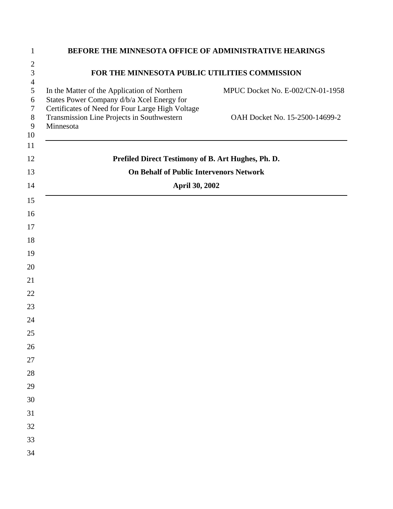| BEFORE THE MINNESOTA OFFICE OF ADMINISTRATIVE HEARINGS                                                      |                                  |  |
|-------------------------------------------------------------------------------------------------------------|----------------------------------|--|
| FOR THE MINNESOTA PUBLIC UTILITIES COMMISSION                                                               |                                  |  |
| In the Matter of the Application of Northern<br>States Power Company d/b/a Xcel Energy for                  | MPUC Docket No. E-002/CN-01-1958 |  |
| Certificates of Need for Four Large High Voltage<br>Transmission Line Projects in Southwestern<br>Minnesota | OAH Docket No. 15-2500-14699-2   |  |
| Prefiled Direct Testimony of B. Art Hughes, Ph. D.                                                          |                                  |  |
| <b>On Behalf of Public Intervenors Network</b>                                                              |                                  |  |
| <b>April 30, 2002</b>                                                                                       |                                  |  |
|                                                                                                             |                                  |  |
|                                                                                                             |                                  |  |
|                                                                                                             |                                  |  |
|                                                                                                             |                                  |  |
|                                                                                                             |                                  |  |
|                                                                                                             |                                  |  |
|                                                                                                             |                                  |  |
|                                                                                                             |                                  |  |
|                                                                                                             |                                  |  |
|                                                                                                             |                                  |  |
|                                                                                                             |                                  |  |
|                                                                                                             |                                  |  |
|                                                                                                             |                                  |  |
|                                                                                                             |                                  |  |
|                                                                                                             |                                  |  |
|                                                                                                             |                                  |  |
|                                                                                                             |                                  |  |
|                                                                                                             |                                  |  |
|                                                                                                             |                                  |  |
|                                                                                                             |                                  |  |
|                                                                                                             |                                  |  |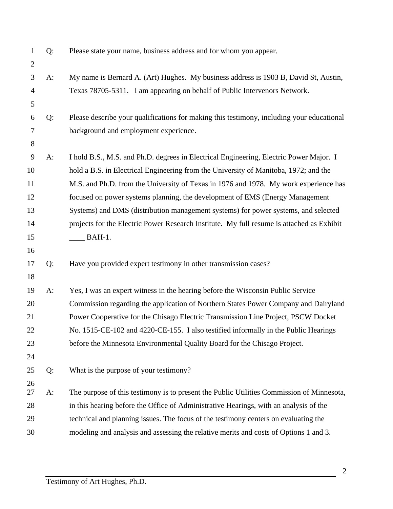| $\mathbf{1}$<br>$\mathbf{2}$ | $Q$ : | Please state your name, business address and for whom you appear.                         |
|------------------------------|-------|-------------------------------------------------------------------------------------------|
| 3                            | A:    | My name is Bernard A. (Art) Hughes. My business address is 1903 B, David St, Austin,      |
| $\overline{4}$               |       | Texas 78705-5311. I am appearing on behalf of Public Intervenors Network.                 |
| 5                            |       |                                                                                           |
| 6                            | Q:    | Please describe your qualifications for making this testimony, including your educational |
| $\tau$                       |       | background and employment experience.                                                     |
| $8\,$                        |       |                                                                                           |
| 9                            | $A$ : | I hold B.S., M.S. and Ph.D. degrees in Electrical Engineering, Electric Power Major. I    |
| 10                           |       | hold a B.S. in Electrical Engineering from the University of Manitoba, 1972; and the      |
| 11                           |       | M.S. and Ph.D. from the University of Texas in 1976 and 1978. My work experience has      |
| 12                           |       | focused on power systems planning, the development of EMS (Energy Management              |
| 13                           |       | Systems) and DMS (distribution management systems) for power systems, and selected        |
| 14                           |       | projects for the Electric Power Research Institute. My full resume is attached as Exhibit |
| 15                           |       | $BAH-1.$                                                                                  |
| 16                           |       |                                                                                           |
| 17                           | Q:    | Have you provided expert testimony in other transmission cases?                           |
| 18                           |       |                                                                                           |
| 19                           | $A$ : | Yes, I was an expert witness in the hearing before the Wisconsin Public Service           |
| 20                           |       | Commission regarding the application of Northern States Power Company and Dairyland       |
| 21                           |       | Power Cooperative for the Chisago Electric Transmission Line Project, PSCW Docket         |
| 22                           |       | No. 1515-CE-102 and 4220-CE-155. I also testified informally in the Public Hearings       |
| 23                           |       | before the Minnesota Environmental Quality Board for the Chisago Project.                 |
| 24                           |       |                                                                                           |
| 25                           | Q:    | What is the purpose of your testimony?                                                    |
| 26<br>27                     |       | The purpose of this testimony is to present the Public Utilities Commission of Minnesota, |
|                              | $A$ : |                                                                                           |
| 28                           |       | in this hearing before the Office of Administrative Hearings, with an analysis of the     |
| 29                           |       | technical and planning issues. The focus of the testimony centers on evaluating the       |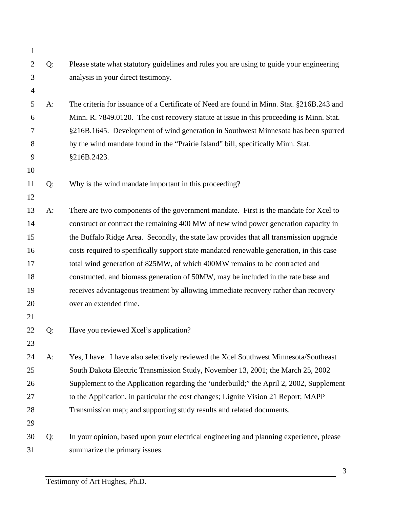| $\mathbf{1}$   |    |                                                                                           |
|----------------|----|-------------------------------------------------------------------------------------------|
| $\overline{2}$ | Q: | Please state what statutory guidelines and rules you are using to guide your engineering  |
| 3              |    | analysis in your direct testimony.                                                        |
| $\overline{4}$ |    |                                                                                           |
| 5              | A: | The criteria for issuance of a Certificate of Need are found in Minn. Stat. §216B.243 and |
| 6              |    | Minn. R. 7849.0120. The cost recovery statute at issue in this proceeding is Minn. Stat.  |
| 7              |    | §216B.1645. Development of wind generation in Southwest Minnesota has been spurred        |
| 8              |    | by the wind mandate found in the "Prairie Island" bill, specifically Minn. Stat.          |
| 9              |    | §216B.2423.                                                                               |
| 10             |    |                                                                                           |
| 11             | Q: | Why is the wind mandate important in this proceeding?                                     |
| 12             |    |                                                                                           |
| 13             | A: | There are two components of the government mandate. First is the mandate for Xcel to      |
| 14             |    | construct or contract the remaining 400 MW of new wind power generation capacity in       |
| 15             |    | the Buffalo Ridge Area. Secondly, the state law provides that all transmission upgrade    |
| 16             |    | costs required to specifically support state mandated renewable generation, in this case  |
| 17             |    | total wind generation of 825MW, of which 400MW remains to be contracted and               |
| 18             |    | constructed, and biomass generation of 50MW, may be included in the rate base and         |
| 19             |    | receives advantageous treatment by allowing immediate recovery rather than recovery       |
| 20             |    | over an extended time.                                                                    |
| 21             |    |                                                                                           |
| 22             | Q: | Have you reviewed Xcel's application?                                                     |
| 23             |    |                                                                                           |
| 24             | A: | Yes, I have. I have also selectively reviewed the Xcel Southwest Minnesota/Southeast      |
| 25             |    | South Dakota Electric Transmission Study, November 13, 2001; the March 25, 2002           |
| 26             |    | Supplement to the Application regarding the 'underbuild;" the April 2, 2002, Supplement   |
| 27             |    | to the Application, in particular the cost changes; Lignite Vision 21 Report; MAPP        |
| 28             |    | Transmission map; and supporting study results and related documents.                     |
| 29             |    |                                                                                           |
| 30             | Q: | In your opinion, based upon your electrical engineering and planning experience, please   |
| 31             |    | summarize the primary issues.                                                             |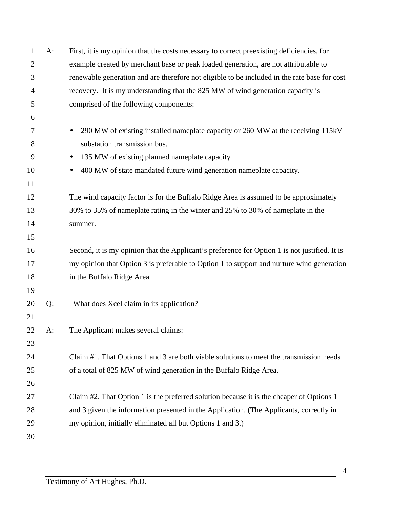| 1              | $A$ : | First, it is my opinion that the costs necessary to correct preexisting deficiencies, for     |
|----------------|-------|-----------------------------------------------------------------------------------------------|
| $\overline{2}$ |       | example created by merchant base or peak loaded generation, are not attributable to           |
| 3              |       | renewable generation and are therefore not eligible to be included in the rate base for cost  |
| 4              |       | recovery. It is my understanding that the 825 MW of wind generation capacity is               |
| 5              |       | comprised of the following components:                                                        |
| 6              |       |                                                                                               |
| 7              |       | 290 MW of existing installed nameplate capacity or 260 MW at the receiving 115kV<br>$\bullet$ |
| 8              |       | substation transmission bus.                                                                  |
| 9              |       | 135 MW of existing planned nameplate capacity<br>$\bullet$                                    |
| 10             |       | 400 MW of state mandated future wind generation nameplate capacity.<br>$\bullet$              |
| 11             |       |                                                                                               |
| 12             |       | The wind capacity factor is for the Buffalo Ridge Area is assumed to be approximately         |
| 13             |       | 30% to 35% of nameplate rating in the winter and 25% to 30% of nameplate in the               |
| 14             |       | summer.                                                                                       |
| 15             |       |                                                                                               |
| 16             |       | Second, it is my opinion that the Applicant's preference for Option 1 is not justified. It is |
| 17             |       | my opinion that Option 3 is preferable to Option 1 to support and nurture wind generation     |
| 18             |       | in the Buffalo Ridge Area                                                                     |
| 19             |       |                                                                                               |
| 20             | Q:    | What does Xcel claim in its application?                                                      |
| 21             |       |                                                                                               |
| 22             | A:    | The Applicant makes several claims:                                                           |
| 23             |       |                                                                                               |
| 24             |       | Claim #1. That Options 1 and 3 are both viable solutions to meet the transmission needs       |
| 25             |       | of a total of 825 MW of wind generation in the Buffalo Ridge Area.                            |
| 26             |       |                                                                                               |
| 27             |       | Claim #2. That Option 1 is the preferred solution because it is the cheaper of Options 1      |
| 28             |       | and 3 given the information presented in the Application. (The Applicants, correctly in       |
| 29             |       | my opinion, initially eliminated all but Options 1 and 3.)                                    |
| 30             |       |                                                                                               |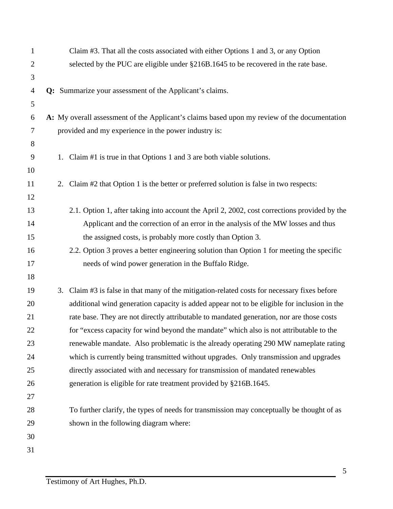| 1              | Claim #3. That all the costs associated with either Options 1 and 3, or any Option           |
|----------------|----------------------------------------------------------------------------------------------|
| $\overline{2}$ | selected by the PUC are eligible under §216B.1645 to be recovered in the rate base.          |
| 3              |                                                                                              |
| 4              | Q: Summarize your assessment of the Applicant's claims.                                      |
| 5              |                                                                                              |
| 6              | A: My overall assessment of the Applicant's claims based upon my review of the documentation |
| $\tau$         | provided and my experience in the power industry is:                                         |
| 8              |                                                                                              |
| 9              | 1. Claim #1 is true in that Options 1 and 3 are both viable solutions.                       |
| 10             |                                                                                              |
| 11             | 2. Claim #2 that Option 1 is the better or preferred solution is false in two respects:      |
| 12             |                                                                                              |
| 13             | 2.1. Option 1, after taking into account the April 2, 2002, cost corrections provided by the |
| 14             | Applicant and the correction of an error in the analysis of the MW losses and thus           |
| 15             | the assigned costs, is probably more costly than Option 3.                                   |
| 16             | 2.2. Option 3 proves a better engineering solution than Option 1 for meeting the specific    |
| 17             | needs of wind power generation in the Buffalo Ridge.                                         |
| 18             |                                                                                              |
| 19             | 3. Claim #3 is false in that many of the mitigation-related costs for necessary fixes before |
| 20             | additional wind generation capacity is added appear not to be eligible for inclusion in the  |
| 21             | rate base. They are not directly attributable to mandated generation, nor are those costs    |
| 22             | for "excess capacity for wind beyond the mandate" which also is not attributable to the      |
| 23             | renewable mandate. Also problematic is the already operating 290 MW nameplate rating         |
| 24             | which is currently being transmitted without upgrades. Only transmission and upgrades        |
| 25             | directly associated with and necessary for transmission of mandated renewables               |
| 26             | generation is eligible for rate treatment provided by §216B.1645.                            |
| 27             |                                                                                              |
| 28             | To further clarify, the types of needs for transmission may conceptually be thought of as    |
| 29             | shown in the following diagram where:                                                        |
| 30             |                                                                                              |
| 31             |                                                                                              |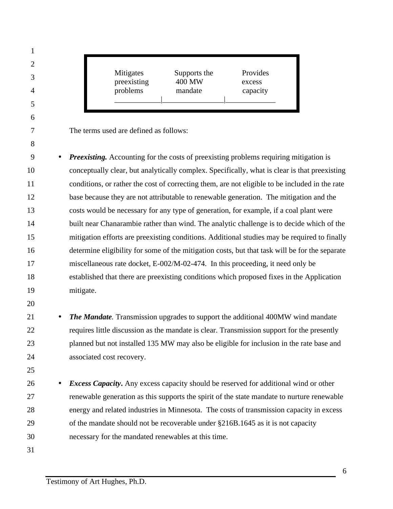The terms used are defined as follows: • *Preexisting.* Accounting for the costs of preexisting problems requiring mitigation is conceptually clear, but analytically complex. Specifically, what is clear is that preexisting conditions, or rather the cost of correcting them, are not eligible to be included in the rate base because they are not attributable to renewable generation. The mitigation and the costs would be necessary for any type of generation, for example, if a coal plant were built near Chanarambie rather than wind. The analytic challenge is to decide which of the mitigation efforts are preexisting conditions. Additional studies may be required to finally determine eligibility for some of the mitigation costs, but that task will be for the separate miscellaneous rate docket, E-002/M-02-474. In this proceeding, it need only be established that there are preexisting conditions which proposed fixes in the Application mitigate. • *The Mandate.* Transmission upgrades to support the additional 400MW wind mandate requires little discussion as the mandate is clear. Transmission support for the presently planned but not installed 135 MW may also be eligible for inclusion in the rate base and associated cost recovery. • *Excess Capacity***.** Any excess capacity should be reserved for additional wind or other renewable generation as this supports the spirit of the state mandate to nurture renewable energy and related industries in Minnesota. The costs of transmission capacity in excess of the mandate should not be recoverable under §216B.1645 as it is not capacity necessary for the mandated renewables at this time. Mitigates Supports the Provides preexisting 400 MW excess problems mandate capacity \_\_\_\_\_\_\_\_\_\_\_\_|\_\_\_\_\_\_\_\_\_\_\_\_\_\_\_\_|\_\_\_\_\_\_\_\_\_\_\_\_\_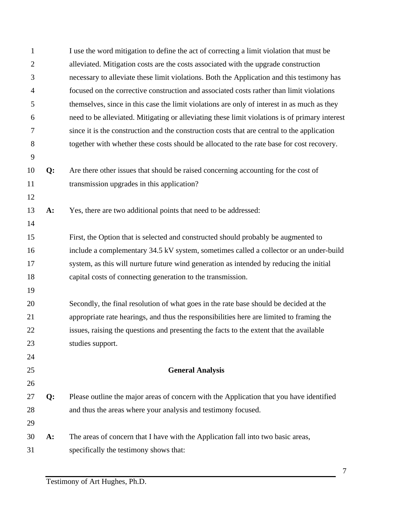| $\mathbf{1}$   |       | I use the word mitigation to define the act of correcting a limit violation that must be       |
|----------------|-------|------------------------------------------------------------------------------------------------|
| $\overline{2}$ |       | alleviated. Mitigation costs are the costs associated with the upgrade construction            |
| 3              |       | necessary to alleviate these limit violations. Both the Application and this testimony has     |
| $\overline{4}$ |       | focused on the corrective construction and associated costs rather than limit violations       |
| 5              |       | themselves, since in this case the limit violations are only of interest in as much as they    |
| 6              |       | need to be alleviated. Mitigating or alleviating these limit violations is of primary interest |
| 7              |       | since it is the construction and the construction costs that are central to the application    |
| $8\phantom{1}$ |       | together with whether these costs should be allocated to the rate base for cost recovery.      |
| 9              |       |                                                                                                |
| 10             | Q:    | Are there other issues that should be raised concerning accounting for the cost of             |
| 11             |       | transmission upgrades in this application?                                                     |
| 12             |       |                                                                                                |
| 13             | A:    | Yes, there are two additional points that need to be addressed:                                |
| 14             |       |                                                                                                |
| 15             |       | First, the Option that is selected and constructed should probably be augmented to             |
| 16             |       | include a complementary 34.5 kV system, sometimes called a collector or an under-build         |
| 17             |       | system, as this will nurture future wind generation as intended by reducing the initial        |
| 18             |       | capital costs of connecting generation to the transmission.                                    |
| 19             |       |                                                                                                |
| 20             |       | Secondly, the final resolution of what goes in the rate base should be decided at the          |
| 21             |       | appropriate rate hearings, and thus the responsibilities here are limited to framing the       |
| 22             |       | issues, raising the questions and presenting the facts to the extent that the available        |
| 23             |       | studies support.                                                                               |
| 24             |       |                                                                                                |
| 25             |       | <b>General Analysis</b>                                                                        |
| 26             |       |                                                                                                |
| 27             | Q:    | Please outline the major areas of concern with the Application that you have identified        |
| 28             |       | and thus the areas where your analysis and testimony focused.                                  |
| 29             |       |                                                                                                |
| 30             | $A$ : | The areas of concern that I have with the Application fall into two basic areas,               |
| 31             |       | specifically the testimony shows that:                                                         |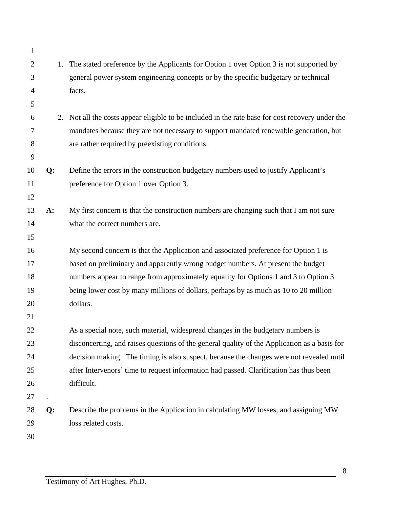| $\mathbf{1}$   |       |                                                                                                  |
|----------------|-------|--------------------------------------------------------------------------------------------------|
| $\mathbf{2}$   |       | 1. The stated preference by the Applicants for Option 1 over Option 3 is not supported by        |
| 3              |       | general power system engineering concepts or by the specific budgetary or technical              |
| $\overline{4}$ |       | facts.                                                                                           |
| 5              |       |                                                                                                  |
| 6              |       | 2. Not all the costs appear eligible to be included in the rate base for cost recovery under the |
| 7              |       | mandates because they are not necessary to support mandated renewable generation, but            |
| 8              |       | are rather required by preexisting conditions.                                                   |
| 9              |       |                                                                                                  |
| 10             | Q:    | Define the errors in the construction budgetary numbers used to justify Applicant's              |
| 11             |       | preference for Option 1 over Option 3.                                                           |
| 12             |       |                                                                                                  |
| 13             | $A$ : | My first concern is that the construction numbers are changing such that I am not sure           |
| 14             |       | what the correct numbers are.                                                                    |
| 15             |       |                                                                                                  |
| 16             |       | My second concern is that the Application and associated preference for Option 1 is              |
| 17             |       | based on preliminary and apparently wrong budget numbers. At present the budget                  |
| 18             |       | numbers appear to range from approximately equality for Options 1 and 3 to Option 3              |
| 19             |       | being lower cost by many millions of dollars, perhaps by as much as 10 to 20 million             |
| 20             |       | dollars.                                                                                         |
| 21             |       |                                                                                                  |
| 22             |       | As a special note, such material, widespread changes in the budgetary numbers is                 |
| 23             |       | disconcerting, and raises questions of the general quality of the Application as a basis for     |
| 24             |       | decision making. The timing is also suspect, because the changes were not revealed until         |
| 25             |       | after Intervenors' time to request information had passed. Clarification has thus been           |
| 26             |       | difficult.                                                                                       |
| 27             |       |                                                                                                  |
| 28             | Q:    | Describe the problems in the Application in calculating MW losses, and assigning MW              |
| 29             |       | loss related costs.                                                                              |
| 30             |       |                                                                                                  |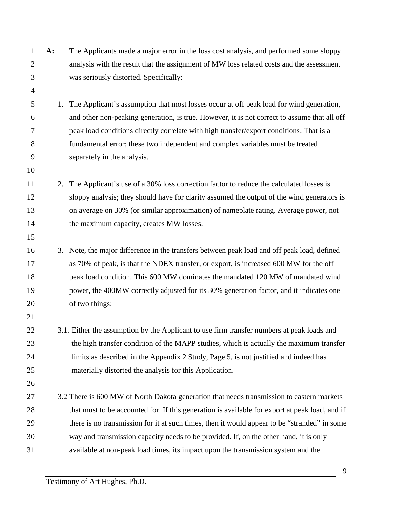**A:** The Applicants made a major error in the loss cost analysis, and performed some sloppy analysis with the result that the assignment of MW loss related costs and the assessment was seriously distorted. Specifically: 1. The Applicant's assumption that most losses occur at off peak load for wind generation, and other non-peaking generation, is true. However, it is not correct to assume that all off peak load conditions directly correlate with high transfer/export conditions. That is a fundamental error; these two independent and complex variables must be treated separately in the analysis. 2. The Applicant's use of a 30% loss correction factor to reduce the calculated losses is sloppy analysis; they should have for clarity assumed the output of the wind generators is on average on 30% (or similar approximation) of nameplate rating. Average power, not the maximum capacity, creates MW losses. 3. Note, the major difference in the transfers between peak load and off peak load, defined as 70% of peak, is that the NDEX transfer, or export, is increased 600 MW for the off peak load condition. This 600 MW dominates the mandated 120 MW of mandated wind power, the 400MW correctly adjusted for its 30% generation factor, and it indicates one of two things: 22 3.1. Either the assumption by the Applicant to use firm transfer numbers at peak loads and the high transfer condition of the MAPP studies, which is actually the maximum transfer limits as described in the Appendix 2 Study, Page 5, is not justified and indeed has materially distorted the analysis for this Application. 27 3.2 There is 600 MW of North Dakota generation that needs transmission to eastern markets 28 that must to be accounted for. If this generation is available for export at peak load, and if there is no transmission for it at such times, then it would appear to be "stranded" in some way and transmission capacity needs to be provided. If, on the other hand, it is only available at non-peak load times, its impact upon the transmission system and the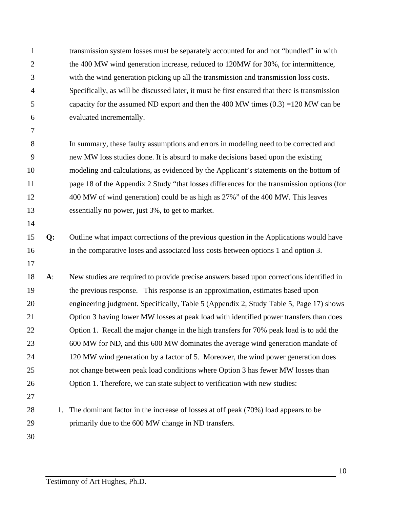transmission system losses must be separately accounted for and not "bundled" in with the 400 MW wind generation increase, reduced to 120MW for 30%, for intermittence, with the wind generation picking up all the transmission and transmission loss costs. Specifically, as will be discussed later, it must be first ensured that there is transmission capacity for the assumed ND export and then the 400 MW times (0.3) =120 MW can be evaluated incrementally. In summary, these faulty assumptions and errors in modeling need to be corrected and new MW loss studies done. It is absurd to make decisions based upon the existing modeling and calculations, as evidenced by the Applicant's statements on the bottom of page 18 of the Appendix 2 Study "that losses differences for the transmission options (for 400 MW of wind generation) could be as high as 27%" of the 400 MW. This leaves essentially no power, just 3%, to get to market. **Q:** Outline what impact corrections of the previous question in the Applications would have in the comparative loses and associated loss costs between options 1 and option 3. **A**: New studies are required to provide precise answers based upon corrections identified in the previous response. This response is an approximation, estimates based upon engineering judgment. Specifically, Table 5 (Appendix 2, Study Table 5, Page 17) shows Option 3 having lower MW losses at peak load with identified power transfers than does Option 1. Recall the major change in the high transfers for 70% peak load is to add the 600 MW for ND, and this 600 MW dominates the average wind generation mandate of 120 MW wind generation by a factor of 5. Moreover, the wind power generation does not change between peak load conditions where Option 3 has fewer MW losses than Option 1. Therefore, we can state subject to verification with new studies: 28 1. The dominant factor in the increase of losses at off peak (70%) load appears to be primarily due to the 600 MW change in ND transfers.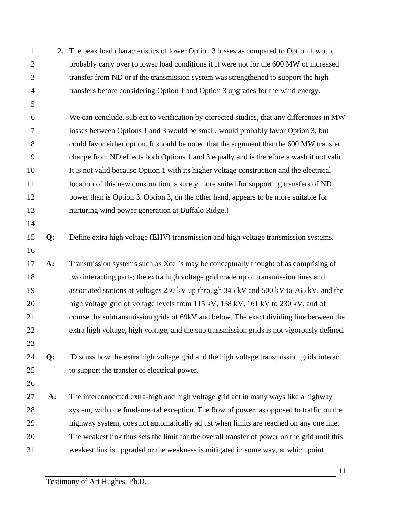2. The peak load characteristics of lower Option 3 losses as compared to Option 1 would probably carry over to lower load conditions if it were not for the 600 MW of increased transfer from ND or if the transmission system was strengthened to support the high transfers before considering Option 1 and Option 3 upgrades for the wind energy. We can conclude, subject to verification by corrected studies, that any differences in MW losses between Options 1 and 3 would be small, would probably favor Option 3, but could favor either option. It should be noted that the argument that the 600 MW transfer change from ND effects both Options 1 and 3 equally and is therefore a wash it not valid. It is not valid because Option 1 with its higher voltage construction and the electrical 11 location of this new construction is surely more suited for supporting transfers of ND power than is Option 3. Option 3, on the other hand, appears to be more suitable for nurturing wind power generation at Buffalo Ridge.) **Q:** Define extra high voltage (EHV) transmission and high voltage transmission systems. **A:** Transmission systems such as Xcel's may be conceptually thought of as comprising of two interacting parts; the extra high voltage grid made up of transmission lines and associated stations at voltages 230 kV up through 345 kV and 500 kV to 765 kV, and the high voltage grid of voltage levels from 115 kV, 138 kV, 161 kV to 230 kV, and of course the subtransmission grids of 69kV and below. The exact dividing line between the extra high voltage, high voltage, and the sub transmission grids is not vigorously defined. **Q:** Discuss how the extra high voltage grid and the high voltage transmission grids interact to support the transfer of electrical power. **A:** The interconnected extra-high and high voltage grid act in many ways like a highway system, with one fundamental exception. The flow of power, as opposed to traffic on the highway system, does not automatically adjust when limits are reached on any one line. The weakest link thus sets the limit for the overall transfer of power on the grid until this weakest link is upgraded or the weakness is mitigated in some way, at which point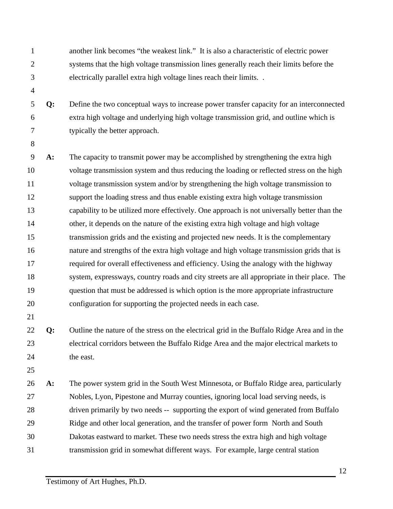another link becomes "the weakest link." It is also a characteristic of electric power systems that the high voltage transmission lines generally reach their limits before the electrically parallel extra high voltage lines reach their limits. . **Q:** Define the two conceptual ways to increase power transfer capacity for an interconnected extra high voltage and underlying high voltage transmission grid, and outline which is typically the better approach. **A:** The capacity to transmit power may be accomplished by strengthening the extra high voltage transmission system and thus reducing the loading or reflected stress on the high voltage transmission system and/or by strengthening the high voltage transmission to support the loading stress and thus enable existing extra high voltage transmission capability to be utilized more effectively. One approach is not universally better than the other, it depends on the nature of the existing extra high voltage and high voltage transmission grids and the existing and projected new needs. It is the complementary nature and strengths of the extra high voltage and high voltage transmission grids that is required for overall effectiveness and efficiency. Using the analogy with the highway system, expressways, country roads and city streets are all appropriate in their place. The question that must be addressed is which option is the more appropriate infrastructure configuration for supporting the projected needs in each case. **Q:** Outline the nature of the stress on the electrical grid in the Buffalo Ridge Area and in the electrical corridors between the Buffalo Ridge Area and the major electrical markets to 24 the east. **A:** The power system grid in the South West Minnesota, or Buffalo Ridge area, particularly Nobles, Lyon, Pipestone and Murray counties, ignoring local load serving needs, is driven primarily by two needs -- supporting the export of wind generated from Buffalo Ridge and other local generation, and the transfer of power form North and South Dakotas eastward to market. These two needs stress the extra high and high voltage transmission grid in somewhat different ways. For example, large central station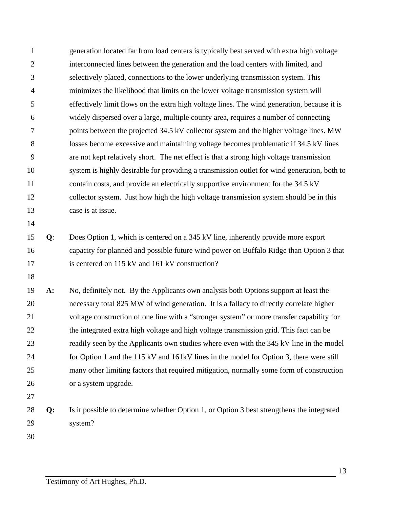| 1              |       | generation located far from load centers is typically best served with extra high voltage   |
|----------------|-------|---------------------------------------------------------------------------------------------|
| $\overline{2}$ |       | interconnected lines between the generation and the load centers with limited, and          |
| 3              |       | selectively placed, connections to the lower underlying transmission system. This           |
| $\overline{4}$ |       | minimizes the likelihood that limits on the lower voltage transmission system will          |
| 5              |       | effectively limit flows on the extra high voltage lines. The wind generation, because it is |
| 6              |       | widely dispersed over a large, multiple county area, requires a number of connecting        |
| $\overline{7}$ |       | points between the projected 34.5 kV collector system and the higher voltage lines. MW      |
| 8              |       | losses become excessive and maintaining voltage becomes problematic if 34.5 kV lines        |
| 9              |       | are not kept relatively short. The net effect is that a strong high voltage transmission    |
| 10             |       | system is highly desirable for providing a transmission outlet for wind generation, both to |
| 11             |       | contain costs, and provide an electrically supportive environment for the 34.5 kV           |
| 12             |       | collector system. Just how high the high voltage transmission system should be in this      |
| 13             |       | case is at issue.                                                                           |
| 14             |       |                                                                                             |
| 15             | $Q$ : | Does Option 1, which is centered on a 345 kV line, inherently provide more export           |
| 16             |       | capacity for planned and possible future wind power on Buffalo Ridge than Option 3 that     |
| 17             |       | is centered on 115 kV and 161 kV construction?                                              |
| 18             |       |                                                                                             |
| 19             | $A$ : | No, definitely not. By the Applicants own analysis both Options support at least the        |
| 20             |       | necessary total 825 MW of wind generation. It is a fallacy to directly correlate higher     |
| 21             |       | voltage construction of one line with a "stronger system" or more transfer capability for   |
| 22             |       | the integrated extra high voltage and high voltage transmission grid. This fact can be      |
| 23             |       | readily seen by the Applicants own studies where even with the 345 kV line in the model     |
| 24             |       | for Option 1 and the 115 kV and 161kV lines in the model for Option 3, there were still     |
| 25             |       | many other limiting factors that required mitigation, normally some form of construction    |
| 26             |       | or a system upgrade.                                                                        |
| 27             |       |                                                                                             |
| 28             | Q:    | Is it possible to determine whether Option 1, or Option 3 best strengthens the integrated   |
| 29             |       | system?                                                                                     |
| 30             |       |                                                                                             |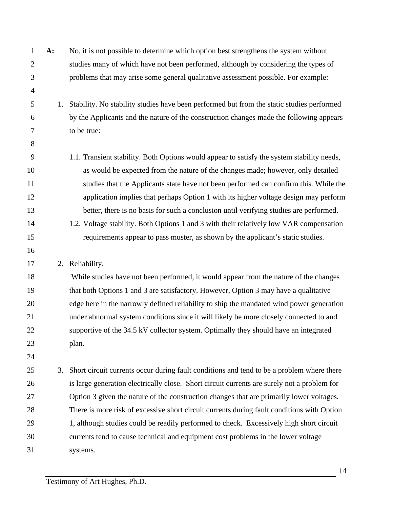| $\mathbf{1}$   | A: | No, it is not possible to determine which option best strengthens the system without        |
|----------------|----|---------------------------------------------------------------------------------------------|
| $\overline{2}$ |    | studies many of which have not been performed, although by considering the types of         |
| 3              |    | problems that may arise some general qualitative assessment possible. For example:          |
| $\overline{4}$ |    |                                                                                             |
| 5              | 1. | Stability. No stability studies have been performed but from the static studies performed   |
| 6              |    | by the Applicants and the nature of the construction changes made the following appears     |
| 7              |    | to be true:                                                                                 |
| 8              |    |                                                                                             |
| 9              |    | 1.1. Transient stability. Both Options would appear to satisfy the system stability needs,  |
| 10             |    | as would be expected from the nature of the changes made; however, only detailed            |
| 11             |    | studies that the Applicants state have not been performed can confirm this. While the       |
| 12             |    | application implies that perhaps Option 1 with its higher voltage design may perform        |
| 13             |    | better, there is no basis for such a conclusion until verifying studies are performed.      |
| 14             |    | 1.2. Voltage stability. Both Options 1 and 3 with their relatively low VAR compensation     |
| 15             |    | requirements appear to pass muster, as shown by the applicant's static studies.             |
| 16             |    |                                                                                             |
| 17             |    | 2. Reliability.                                                                             |
| 18             |    | While studies have not been performed, it would appear from the nature of the changes       |
| 19             |    | that both Options 1 and 3 are satisfactory. However, Option 3 may have a qualitative        |
| 20             |    | edge here in the narrowly defined reliability to ship the mandated wind power generation    |
| 21             |    | under abnormal system conditions since it will likely be more closely connected to and      |
| 22             |    | supportive of the 34.5 kV collector system. Optimally they should have an integrated        |
| 23             |    | plan.                                                                                       |
| 24             |    |                                                                                             |
| 25             | 3. | Short circuit currents occur during fault conditions and tend to be a problem where there   |
| 26             |    | is large generation electrically close. Short circuit currents are surely not a problem for |
| 27             |    | Option 3 given the nature of the construction changes that are primarily lower voltages.    |
| 28             |    | There is more risk of excessive short circuit currents during fault conditions with Option  |
| 29             |    | 1, although studies could be readily performed to check. Excessively high short circuit     |
| 30             |    | currents tend to cause technical and equipment cost problems in the lower voltage           |
| 31             |    | systems.                                                                                    |
|                |    |                                                                                             |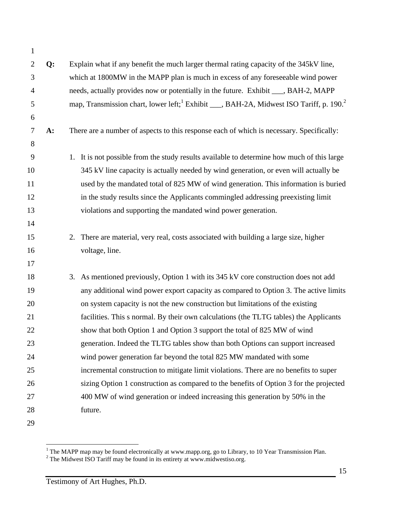| $\mathbf{1}$   |       |                                                                                                                 |
|----------------|-------|-----------------------------------------------------------------------------------------------------------------|
| $\overline{2}$ | Q:    | Explain what if any benefit the much larger thermal rating capacity of the 345kV line,                          |
| 3              |       | which at 1800MW in the MAPP plan is much in excess of any foreseeable wind power                                |
| $\overline{4}$ |       | needs, actually provides now or potentially in the future. Exhibit ___, BAH-2, MAPP                             |
| 5              |       | map, Transmission chart, lower left; <sup>1</sup> Exhibit ___, BAH-2A, Midwest ISO Tariff, p. 190. <sup>2</sup> |
| 6              |       |                                                                                                                 |
| 7              | $A$ : | There are a number of aspects to this response each of which is necessary. Specifically:                        |
| 8              |       |                                                                                                                 |
| 9              |       | 1. It is not possible from the study results available to determine how much of this large                      |
| 10             |       | 345 kV line capacity is actually needed by wind generation, or even will actually be                            |
| 11             |       | used by the mandated total of 825 MW of wind generation. This information is buried                             |
| 12             |       | in the study results since the Applicants commingled addressing preexisting limit                               |
| 13             |       | violations and supporting the mandated wind power generation.                                                   |
| 14             |       |                                                                                                                 |
| 15             |       | There are material, very real, costs associated with building a large size, higher<br>2.                        |
| 16             |       | voltage, line.                                                                                                  |
| 17             |       |                                                                                                                 |
| 18             |       | 3. As mentioned previously, Option 1 with its 345 kV core construction does not add                             |
| 19             |       | any additional wind power export capacity as compared to Option 3. The active limits                            |
| 20             |       | on system capacity is not the new construction but limitations of the existing                                  |
| 21             |       | facilities. This s normal. By their own calculations (the TLTG tables) the Applicants                           |
| 22             |       | show that both Option 1 and Option 3 support the total of 825 MW of wind                                        |
| 23             |       | generation. Indeed the TLTG tables show than both Options can support increased                                 |
| 24             |       | wind power generation far beyond the total 825 MW mandated with some                                            |
| 25             |       | incremental construction to mitigate limit violations. There are no benefits to super                           |
| 26             |       | sizing Option 1 construction as compared to the benefits of Option 3 for the projected                          |
| 27             |       | 400 MW of wind generation or indeed increasing this generation by 50% in the                                    |
| 28             |       | future.                                                                                                         |
| 29             |       |                                                                                                                 |

 $\frac{1}{1}$ <sup>1</sup> The MAPP map may be found electronically at www.mapp.org, go to Library, to 10 Year Transmission Plan.<br><sup>2</sup> The Midwest ISO Tariff may be found in its entirety at www.midwestiso.org.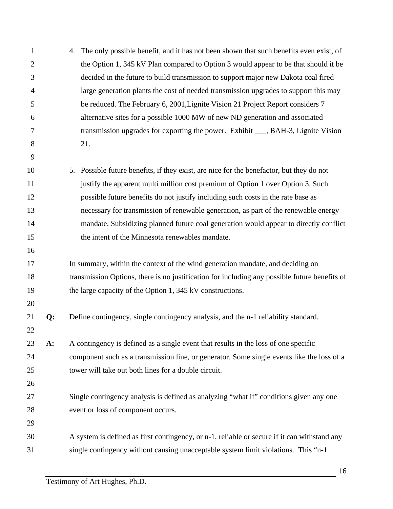| $\mathbf{1}$   |       | 4. | The only possible benefit, and it has not been shown that such benefits even exist, of        |
|----------------|-------|----|-----------------------------------------------------------------------------------------------|
| $\overline{2}$ |       |    | the Option 1, 345 kV Plan compared to Option 3 would appear to be that should it be           |
| 3              |       |    | decided in the future to build transmission to support major new Dakota coal fired            |
| 4              |       |    | large generation plants the cost of needed transmission upgrades to support this may          |
| 5              |       |    | be reduced. The February 6, 2001, Lignite Vision 21 Project Report considers 7                |
| 6              |       |    | alternative sites for a possible 1000 MW of new ND generation and associated                  |
| 7              |       |    | transmission upgrades for exporting the power. Exhibit ___, BAH-3, Lignite Vision             |
| 8              |       |    | 21.                                                                                           |
| 9              |       |    |                                                                                               |
| 10             |       | 5. | Possible future benefits, if they exist, are nice for the benefactor, but they do not         |
| 11             |       |    | justify the apparent multi million cost premium of Option 1 over Option 3. Such               |
| 12             |       |    | possible future benefits do not justify including such costs in the rate base as              |
| 13             |       |    | necessary for transmission of renewable generation, as part of the renewable energy           |
| 14             |       |    | mandate. Subsidizing planned future coal generation would appear to directly conflict         |
| 15             |       |    | the intent of the Minnesota renewables mandate.                                               |
| 16             |       |    |                                                                                               |
| 17             |       |    | In summary, within the context of the wind generation mandate, and deciding on                |
| 18             |       |    | transmission Options, there is no justification for including any possible future benefits of |
| 19             |       |    | the large capacity of the Option 1, 345 kV constructions.                                     |
| 20             |       |    |                                                                                               |
| 21             | Q:    |    | Define contingency, single contingency analysis, and the n-1 reliability standard.            |
| 22             |       |    |                                                                                               |
| 23             | $A$ : |    | A contingency is defined as a single event that results in the loss of one specific           |
| 24             |       |    | component such as a transmission line, or generator. Some single events like the loss of a    |
| 25             |       |    | tower will take out both lines for a double circuit.                                          |
| 26             |       |    |                                                                                               |
| 27             |       |    | Single contingency analysis is defined as analyzing "what if" conditions given any one        |
| 28             |       |    | event or loss of component occurs.                                                            |
| 29             |       |    |                                                                                               |
| 30             |       |    | A system is defined as first contingency, or n-1, reliable or secure if it can withstand any  |
| 31             |       |    | single contingency without causing unacceptable system limit violations. This "n-1            |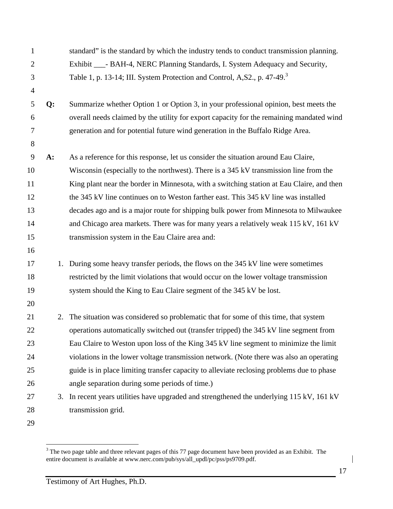| $\mathbf{1}$   |    | standard" is the standard by which the industry tends to conduct transmission planning.   |
|----------------|----|-------------------------------------------------------------------------------------------|
| $\overline{2}$ |    | Exhibit ____- BAH-4, NERC Planning Standards, I. System Adequacy and Security,            |
| 3              |    | Table 1, p. 13-14; III. System Protection and Control, A, S2., p. 47-49. <sup>3</sup>     |
| $\overline{4}$ |    |                                                                                           |
| 5              | Q: | Summarize whether Option 1 or Option 3, in your professional opinion, best meets the      |
| 6              |    | overall needs claimed by the utility for export capacity for the remaining mandated wind  |
| 7              |    | generation and for potential future wind generation in the Buffalo Ridge Area.            |
| 8              |    |                                                                                           |
| 9              | A: | As a reference for this response, let us consider the situation around Eau Claire,        |
| 10             |    | Wisconsin (especially to the northwest). There is a 345 kV transmission line from the     |
| 11             |    | King plant near the border in Minnesota, with a switching station at Eau Claire, and then |
| 12             |    | the 345 kV line continues on to Weston farther east. This 345 kV line was installed       |
| 13             |    | decades ago and is a major route for shipping bulk power from Minnesota to Milwaukee      |
| 14             |    | and Chicago area markets. There was for many years a relatively weak 115 kV, 161 kV       |
| 15             |    | transmission system in the Eau Claire area and:                                           |
| 16             |    |                                                                                           |
| 17             | 1. | During some heavy transfer periods, the flows on the 345 kV line were sometimes           |
| 18             |    | restricted by the limit violations that would occur on the lower voltage transmission     |
| 19             |    | system should the King to Eau Claire segment of the 345 kV be lost.                       |
| 20             |    |                                                                                           |
| 21             | 2. | The situation was considered so problematic that for some of this time, that system       |
| 22             |    | operations automatically switched out (transfer tripped) the 345 kV line segment from     |
| 23             |    | Eau Claire to Weston upon loss of the King 345 kV line segment to minimize the limit      |
| 24             |    | violations in the lower voltage transmission network. (Note there was also an operating   |
| 25             |    | guide is in place limiting transfer capacity to alleviate reclosing problems due to phase |
| 26             |    | angle separation during some periods of time.)                                            |
| 27             | 3. | In recent years utilities have upgraded and strengthened the underlying 115 kV, 161 kV    |
| 28             |    | transmission grid.                                                                        |
| 29             |    |                                                                                           |

<sup>&</sup>lt;sup>2</sup><br>3 The two page table and three relevant pages of this 77 page document have been provided as an Exhibit. The entire document is available at www.nerc.com/pub/sys/all\_updl/pc/pss/ps9709.pdf.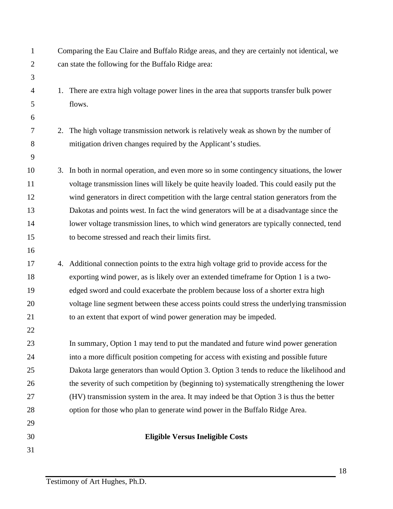| $\mathbf{1}$   |    | Comparing the Eau Claire and Buffalo Ridge areas, and they are certainly not identical, we |
|----------------|----|--------------------------------------------------------------------------------------------|
| $\overline{c}$ |    | can state the following for the Buffalo Ridge area:                                        |
| 3              |    |                                                                                            |
| 4              |    | 1. There are extra high voltage power lines in the area that supports transfer bulk power  |
| 5              |    | flows.                                                                                     |
| 6              |    |                                                                                            |
| 7              |    | 2. The high voltage transmission network is relatively weak as shown by the number of      |
| 8              |    | mitigation driven changes required by the Applicant's studies.                             |
| 9              |    |                                                                                            |
| 10             | 3. | In both in normal operation, and even more so in some contingency situations, the lower    |
| 11             |    | voltage transmission lines will likely be quite heavily loaded. This could easily put the  |
| 12             |    | wind generators in direct competition with the large central station generators from the   |
| 13             |    | Dakotas and points west. In fact the wind generators will be at a disadvantage since the   |
| 14             |    | lower voltage transmission lines, to which wind generators are typically connected, tend   |
| 15             |    | to become stressed and reach their limits first.                                           |
| 16             |    |                                                                                            |
| 17             |    | 4. Additional connection points to the extra high voltage grid to provide access for the   |
| 18             |    | exporting wind power, as is likely over an extended timeframe for Option 1 is a two-       |
| 19             |    | edged sword and could exacerbate the problem because loss of a shorter extra high          |
| 20             |    | voltage line segment between these access points could stress the underlying transmission  |
| 21             |    | to an extent that export of wind power generation may be impeded.                          |
| 22             |    |                                                                                            |
| 23             |    | In summary, Option 1 may tend to put the mandated and future wind power generation         |
| 24             |    | into a more difficult position competing for access with existing and possible future      |
| 25             |    | Dakota large generators than would Option 3. Option 3 tends to reduce the likelihood and   |
| 26             |    | the severity of such competition by (beginning to) systematically strengthening the lower  |
| 27             |    | (HV) transmission system in the area. It may indeed be that Option 3 is thus the better    |
| 28             |    | option for those who plan to generate wind power in the Buffalo Ridge Area.                |
| 29             |    |                                                                                            |
| 30             |    | <b>Eligible Versus Ineligible Costs</b>                                                    |
| 31             |    |                                                                                            |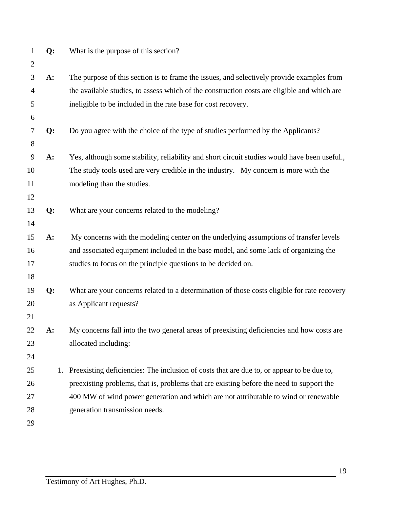| $\mathbf{1}$   | Q:    |    | What is the purpose of this section?                                                         |
|----------------|-------|----|----------------------------------------------------------------------------------------------|
| $\overline{2}$ |       |    |                                                                                              |
| 3              | $A$ : |    | The purpose of this section is to frame the issues, and selectively provide examples from    |
| 4              |       |    | the available studies, to assess which of the construction costs are eligible and which are  |
| 5              |       |    | ineligible to be included in the rate base for cost recovery.                                |
| 6              |       |    |                                                                                              |
| $\tau$         | Q:    |    | Do you agree with the choice of the type of studies performed by the Applicants?             |
| 8              |       |    |                                                                                              |
| 9              | A:    |    | Yes, although some stability, reliability and short circuit studies would have been useful., |
| 10             |       |    | The study tools used are very credible in the industry. My concern is more with the          |
| 11             |       |    | modeling than the studies.                                                                   |
| 12             |       |    |                                                                                              |
| 13             | Q:    |    | What are your concerns related to the modeling?                                              |
| 14             |       |    |                                                                                              |
| 15             | $A$ : |    | My concerns with the modeling center on the underlying assumptions of transfer levels        |
| 16             |       |    | and associated equipment included in the base model, and some lack of organizing the         |
| 17             |       |    | studies to focus on the principle questions to be decided on.                                |
| 18             |       |    |                                                                                              |
| 19             | Q:    |    | What are your concerns related to a determination of those costs eligible for rate recovery  |
| 20             |       |    | as Applicant requests?                                                                       |
| 21             |       |    |                                                                                              |
| 22             | $A$ : |    | My concerns fall into the two general areas of preexisting deficiencies and how costs are    |
| 23             |       |    | allocated including:                                                                         |
| 24             |       |    |                                                                                              |
| 25             |       | 1. | Preexisting deficiencies: The inclusion of costs that are due to, or appear to be due to,    |
| 26             |       |    | preexisting problems, that is, problems that are existing before the need to support the     |
| 27             |       |    | 400 MW of wind power generation and which are not attributable to wind or renewable          |
| 28             |       |    | generation transmission needs.                                                               |
| 29             |       |    |                                                                                              |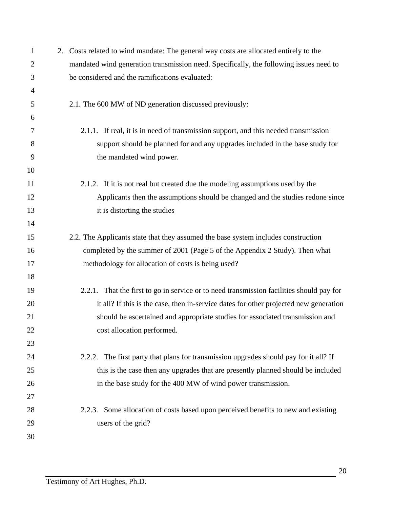| $\mathbf{1}$   | 2. Costs related to wind mandate: The general way costs are allocated entirely to the    |
|----------------|------------------------------------------------------------------------------------------|
| $\overline{2}$ | mandated wind generation transmission need. Specifically, the following issues need to   |
| 3              | be considered and the ramifications evaluated:                                           |
| $\overline{4}$ |                                                                                          |
| 5              | 2.1. The 600 MW of ND generation discussed previously:                                   |
| 6              |                                                                                          |
| 7              | 2.1.1. If real, it is in need of transmission support, and this needed transmission      |
| 8              | support should be planned for and any upgrades included in the base study for            |
| 9              | the mandated wind power.                                                                 |
| 10             |                                                                                          |
| 11             | 2.1.2. If it is not real but created due the modeling assumptions used by the            |
| 12             | Applicants then the assumptions should be changed and the studies redone since           |
| 13             | it is distorting the studies                                                             |
| 14             |                                                                                          |
| 15             | 2.2. The Applicants state that they assumed the base system includes construction        |
| 16             | completed by the summer of 2001 (Page 5 of the Appendix 2 Study). Then what              |
| 17             | methodology for allocation of costs is being used?                                       |
| 18             |                                                                                          |
| 19             | 2.2.1. That the first to go in service or to need transmission facilities should pay for |
| 20             | it all? If this is the case, then in-service dates for other projected new generation    |
| 21             | should be ascertained and appropriate studies for associated transmission and            |
| 22             | cost allocation performed.                                                               |
| 23             |                                                                                          |
| 24             | 2.2.2. The first party that plans for transmission upgrades should pay for it all? If    |
| 25             | this is the case then any upgrades that are presently planned should be included         |
| 26             | in the base study for the 400 MW of wind power transmission.                             |
| 27             |                                                                                          |
| 28             | 2.2.3. Some allocation of costs based upon perceived benefits to new and existing        |
| 29             | users of the grid?                                                                       |
| 30             |                                                                                          |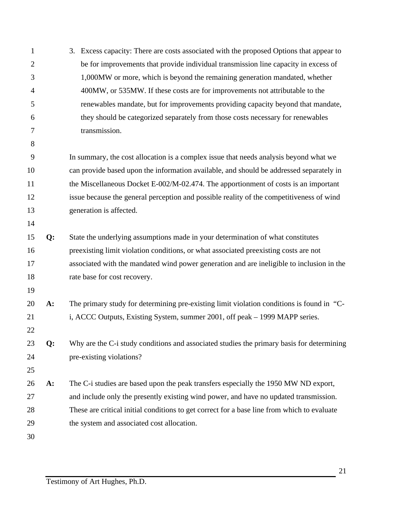| $\mathbf{1}$   |       | 3. Excess capacity: There are costs associated with the proposed Options that appear to     |
|----------------|-------|---------------------------------------------------------------------------------------------|
| $\overline{2}$ |       | be for improvements that provide individual transmission line capacity in excess of         |
| 3              |       | 1,000MW or more, which is beyond the remaining generation mandated, whether                 |
| $\overline{4}$ |       | 400MW, or 535MW. If these costs are for improvements not attributable to the                |
| 5              |       | renewables mandate, but for improvements providing capacity beyond that mandate,            |
| 6              |       | they should be categorized separately from those costs necessary for renewables             |
| 7              |       | transmission.                                                                               |
| 8              |       |                                                                                             |
| 9              |       | In summary, the cost allocation is a complex issue that needs analysis beyond what we       |
| 10             |       | can provide based upon the information available, and should be addressed separately in     |
| 11             |       | the Miscellaneous Docket E-002/M-02.474. The apportionment of costs is an important         |
| 12             |       | issue because the general perception and possible reality of the competitiveness of wind    |
| 13             |       | generation is affected.                                                                     |
| 14             |       |                                                                                             |
| 15             | Q:    | State the underlying assumptions made in your determination of what constitutes             |
| 16             |       | preexisting limit violation conditions, or what associated preexisting costs are not        |
| 17             |       | associated with the mandated wind power generation and are ineligible to inclusion in the   |
| 18             |       | rate base for cost recovery.                                                                |
| 19             |       |                                                                                             |
| 20             | $A$ : | The primary study for determining pre-existing limit violation conditions is found in "C-   |
| 21             |       | i, ACCC Outputs, Existing System, summer 2001, off peak - 1999 MAPP series.                 |
| 22             |       |                                                                                             |
| 23             | Q:    | Why are the C-i study conditions and associated studies the primary basis for determining   |
| 24             |       | pre-existing violations?                                                                    |
| 25             |       |                                                                                             |
| 26             | $A$ : | The C-i studies are based upon the peak transfers especially the 1950 MW ND export,         |
| 27             |       | and include only the presently existing wind power, and have no updated transmission.       |
| 28             |       | These are critical initial conditions to get correct for a base line from which to evaluate |
| 29             |       | the system and associated cost allocation.                                                  |
| 30             |       |                                                                                             |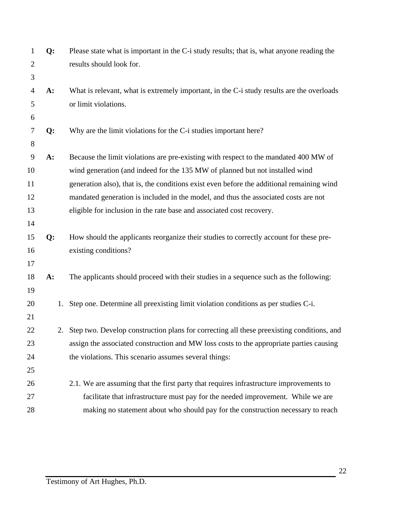| $\mathbf{1}$   | Q:    | Please state what is important in the C-i study results; that is, what anyone reading the    |
|----------------|-------|----------------------------------------------------------------------------------------------|
| $\overline{2}$ |       | results should look for.                                                                     |
| 3              |       |                                                                                              |
| $\overline{4}$ | $A$ : | What is relevant, what is extremely important, in the C-i study results are the overloads    |
| 5              |       | or limit violations.                                                                         |
| 6              |       |                                                                                              |
| 7              | Q:    | Why are the limit violations for the C-i studies important here?                             |
| 8              |       |                                                                                              |
| 9              | A:    | Because the limit violations are pre-existing with respect to the mandated 400 MW of         |
| 10             |       | wind generation (and indeed for the 135 MW of planned but not installed wind                 |
| 11             |       | generation also), that is, the conditions exist even before the additional remaining wind    |
| 12             |       | mandated generation is included in the model, and thus the associated costs are not          |
| 13             |       | eligible for inclusion in the rate base and associated cost recovery.                        |
| 14             |       |                                                                                              |
| 15             | Q:    | How should the applicants reorganize their studies to correctly account for these pre-       |
| 16             |       | existing conditions?                                                                         |
| 17             |       |                                                                                              |
| 18             | A:    | The applicants should proceed with their studies in a sequence such as the following:        |
| 19             |       |                                                                                              |
| 20             | 1.    | Step one. Determine all preexisting limit violation conditions as per studies C-i.           |
| 21             |       |                                                                                              |
| 22             |       | 2. Step two. Develop construction plans for correcting all these preexisting conditions, and |
| 23             |       | assign the associated construction and MW loss costs to the appropriate parties causing      |
| 24             |       | the violations. This scenario assumes several things:                                        |
| 25             |       |                                                                                              |
| 26             |       | 2.1. We are assuming that the first party that requires infrastructure improvements to       |
| 27             |       | facilitate that infrastructure must pay for the needed improvement. While we are             |
| 28             |       | making no statement about who should pay for the construction necessary to reach             |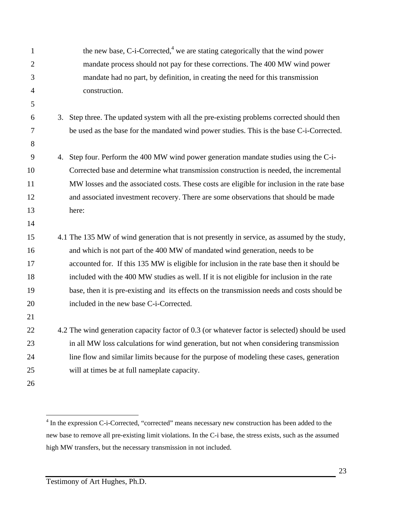| $\mathbf{1}$   | the new base, C-i-Corrected, <sup>4</sup> we are stating categorically that the wind power     |
|----------------|------------------------------------------------------------------------------------------------|
| $\overline{2}$ | mandate process should not pay for these corrections. The 400 MW wind power                    |
| 3              | mandate had no part, by definition, in creating the need for this transmission                 |
| $\overline{4}$ | construction.                                                                                  |
| 5              |                                                                                                |
| 6              | 3. Step three. The updated system with all the pre-existing problems corrected should then     |
| $\overline{7}$ | be used as the base for the mandated wind power studies. This is the base C-i-Corrected.       |
| 8              |                                                                                                |
| 9              | 4. Step four. Perform the 400 MW wind power generation mandate studies using the C-i-          |
| 10             | Corrected base and determine what transmission construction is needed, the incremental         |
| 11             | MW losses and the associated costs. These costs are eligible for inclusion in the rate base    |
| 12             | and associated investment recovery. There are some observations that should be made            |
| 13             | here:                                                                                          |
| 14             |                                                                                                |
| 15             | 4.1 The 135 MW of wind generation that is not presently in service, as assumed by the study,   |
| 16             | and which is not part of the 400 MW of mandated wind generation, needs to be                   |
| 17             | accounted for. If this 135 MW is eligible for inclusion in the rate base then it should be     |
| 18             | included with the 400 MW studies as well. If it is not eligible for inclusion in the rate      |
| 19             | base, then it is pre-existing and its effects on the transmission needs and costs should be    |
| 20             | included in the new base C-i-Corrected.                                                        |
| 21             |                                                                                                |
| 22             | 4.2 The wind generation capacity factor of 0.3 (or whatever factor is selected) should be used |
| 23             | in all MW loss calculations for wind generation, but not when considering transmission         |
| 24             | line flow and similar limits because for the purpose of modeling these cases, generation       |
| 25             | will at times be at full nameplate capacity.                                                   |
| 26             |                                                                                                |

 $\frac{1}{4}$ <sup>4</sup> In the expression C-i-Corrected, "corrected" means necessary new construction has been added to the new base to remove all pre-existing limit violations. In the C-i base, the stress exists, such as the assumed high MW transfers, but the necessary transmission in not included.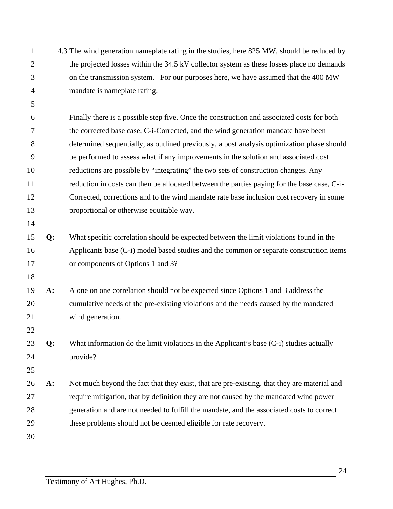| $\mathbf{1}$   |    | 4.3 The wind generation nameplate rating in the studies, here 825 MW, should be reduced by  |
|----------------|----|---------------------------------------------------------------------------------------------|
| $\overline{2}$ |    | the projected losses within the 34.5 kV collector system as these losses place no demands   |
| 3              |    | on the transmission system. For our purposes here, we have assumed that the 400 MW          |
| 4              |    | mandate is nameplate rating.                                                                |
| 5              |    |                                                                                             |
| 6              |    | Finally there is a possible step five. Once the construction and associated costs for both  |
| 7              |    | the corrected base case, C-i-Corrected, and the wind generation mandate have been           |
| 8              |    | determined sequentially, as outlined previously, a post analysis optimization phase should  |
| 9              |    | be performed to assess what if any improvements in the solution and associated cost         |
| 10             |    | reductions are possible by "integrating" the two sets of construction changes. Any          |
| 11             |    | reduction in costs can then be allocated between the parties paying for the base case, C-i- |
| 12             |    | Corrected, corrections and to the wind mandate rate base inclusion cost recovery in some    |
| 13             |    | proportional or otherwise equitable way.                                                    |
| 14             |    |                                                                                             |
| 15             | Q: | What specific correlation should be expected between the limit violations found in the      |
| 16             |    | Applicants base (C-i) model based studies and the common or separate construction items     |
| 17             |    | or components of Options 1 and 3?                                                           |
| 18             |    |                                                                                             |
| 19             | A: | A one on one correlation should not be expected since Options 1 and 3 address the           |
| 20             |    | cumulative needs of the pre-existing violations and the needs caused by the mandated        |
| 21             |    | wind generation.                                                                            |
| 22             |    |                                                                                             |
| 23             | Q: | What information do the limit violations in the Applicant's base $(C-i)$ studies actually   |
| 24             |    | provide?                                                                                    |
| 25             |    |                                                                                             |
| 26             | A: | Not much beyond the fact that they exist, that are pre-existing, that they are material and |
| 27             |    | require mitigation, that by definition they are not caused by the mandated wind power       |
| 28             |    | generation and are not needed to fulfill the mandate, and the associated costs to correct   |
| 29             |    | these problems should not be deemed eligible for rate recovery.                             |
| 30             |    |                                                                                             |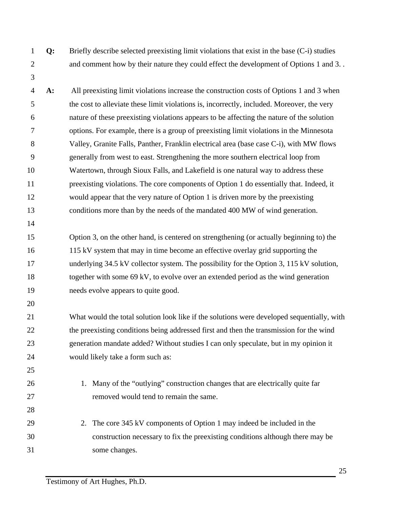- 
- 

 **Q:** Briefly describe selected preexisting limit violations that exist in the base (C-i) studies and comment how by their nature they could effect the development of Options 1 and 3. .

- **A:** All preexisting limit violations increase the construction costs of Options 1 and 3 when the cost to alleviate these limit violations is, incorrectly, included. Moreover, the very nature of these preexisting violations appears to be affecting the nature of the solution options. For example, there is a group of preexisting limit violations in the Minnesota Valley, Granite Falls, Panther, Franklin electrical area (base case C-i), with MW flows generally from west to east. Strengthening the more southern electrical loop from Watertown, through Sioux Falls, and Lakefield is one natural way to address these preexisting violations. The core components of Option 1 do essentially that. Indeed, it would appear that the very nature of Option 1 is driven more by the preexisting conditions more than by the needs of the mandated 400 MW of wind generation.
- Option 3, on the other hand, is centered on strengthening (or actually beginning to) the 115 kV system that may in time become an effective overlay grid supporting the 17 underlying 34.5 kV collector system. The possibility for the Option 3, 115 kV solution, together with some 69 kV, to evolve over an extended period as the wind generation needs evolve appears to quite good.
- What would the total solution look like if the solutions were developed sequentially, with 22 the preexisting conditions being addressed first and then the transmission for the wind generation mandate added? Without studies I can only speculate, but in my opinion it would likely take a form such as:
- 1. Many of the "outlying" construction changes that are electrically quite far removed would tend to remain the same.
- 29 2. The core 345 kV components of Option 1 may indeed be included in the construction necessary to fix the preexisting conditions although there may be some changes.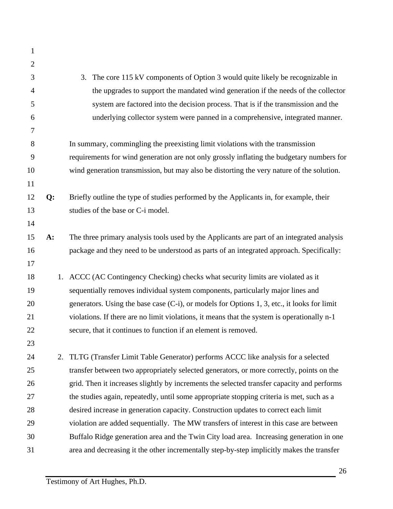| 1              |       |                                                                                             |
|----------------|-------|---------------------------------------------------------------------------------------------|
| $\overline{2}$ |       |                                                                                             |
| 3              |       | The core 115 kV components of Option 3 would quite likely be recognizable in<br>3.          |
| 4              |       | the upgrades to support the mandated wind generation if the needs of the collector          |
| 5              |       | system are factored into the decision process. That is if the transmission and the          |
| 6              |       | underlying collector system were panned in a comprehensive, integrated manner.              |
| 7              |       |                                                                                             |
| 8              |       | In summary, commingling the preexisting limit violations with the transmission              |
| 9              |       | requirements for wind generation are not only grossly inflating the budgetary numbers for   |
| 10             |       | wind generation transmission, but may also be distorting the very nature of the solution.   |
| 11             |       |                                                                                             |
| 12             | Q:    | Briefly outline the type of studies performed by the Applicants in, for example, their      |
| 13             |       | studies of the base or C-i model.                                                           |
| 14             |       |                                                                                             |
| 15             | $A$ : | The three primary analysis tools used by the Applicants are part of an integrated analysis  |
| 16             |       | package and they need to be understood as parts of an integrated approach. Specifically:    |
| 17             |       |                                                                                             |
| 18             |       | 1. ACCC (AC Contingency Checking) checks what security limits are violated as it            |
| 19             |       | sequentially removes individual system components, particularly major lines and             |
| 20             |       | generators. Using the base case (C-i), or models for Options 1, 3, etc., it looks for limit |
| 21             |       | violations. If there are no limit violations, it means that the system is operationally n-1 |
| 22             |       | secure, that it continues to function if an element is removed.                             |
| 23             |       |                                                                                             |
| 24             | 2.    | TLTG (Transfer Limit Table Generator) performs ACCC like analysis for a selected            |
| 25             |       | transfer between two appropriately selected generators, or more correctly, points on the    |
| 26             |       | grid. Then it increases slightly by increments the selected transfer capacity and performs  |
| 27             |       | the studies again, repeatedly, until some appropriate stopping criteria is met, such as a   |
| 28             |       | desired increase in generation capacity. Construction updates to correct each limit         |
| 29             |       | violation are added sequentially. The MW transfers of interest in this case are between     |
| 30             |       | Buffalo Ridge generation area and the Twin City load area. Increasing generation in one     |
| 31             |       | area and decreasing it the other incrementally step-by-step implicitly makes the transfer   |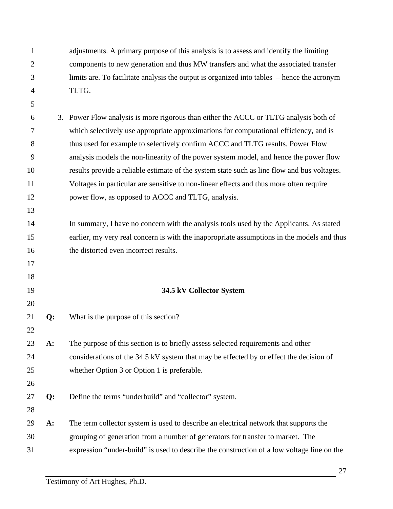| $\mathbf{1}$   |       | adjustments. A primary purpose of this analysis is to assess and identify the limiting      |
|----------------|-------|---------------------------------------------------------------------------------------------|
| $\overline{2}$ |       | components to new generation and thus MW transfers and what the associated transfer         |
| 3              |       | limits are. To facilitate analysis the output is organized into tables – hence the acronym  |
| $\overline{4}$ |       | TLTG.                                                                                       |
| 5              |       |                                                                                             |
| 6              |       | 3. Power Flow analysis is more rigorous than either the ACCC or TLTG analysis both of       |
| 7              |       | which selectively use appropriate approximations for computational efficiency, and is       |
| 8              |       | thus used for example to selectively confirm ACCC and TLTG results. Power Flow              |
| 9              |       | analysis models the non-linearity of the power system model, and hence the power flow       |
| 10             |       | results provide a reliable estimate of the system state such as line flow and bus voltages. |
| 11             |       | Voltages in particular are sensitive to non-linear effects and thus more often require      |
| 12             |       | power flow, as opposed to ACCC and TLTG, analysis.                                          |
| 13             |       |                                                                                             |
| 14             |       | In summary, I have no concern with the analysis tools used by the Applicants. As stated     |
| 15             |       | earlier, my very real concern is with the inappropriate assumptions in the models and thus  |
| 16             |       | the distorted even incorrect results.                                                       |
| 17             |       |                                                                                             |
| 18             |       |                                                                                             |
| 19             |       | 34.5 kV Collector System                                                                    |
| 20             |       |                                                                                             |
| 21             | Q:    | What is the purpose of this section?                                                        |
| 22             |       |                                                                                             |
| 23             | $A$ : | The purpose of this section is to briefly assess selected requirements and other            |
| 24             |       | considerations of the 34.5 kV system that may be effected by or effect the decision of      |
| 25             |       | whether Option 3 or Option 1 is preferable.                                                 |
| 26             |       |                                                                                             |
| 27             | Q:    | Define the terms "underbuild" and "collector" system.                                       |
| 28             |       |                                                                                             |
| 29             | $A$ : | The term collector system is used to describe an electrical network that supports the       |
| 30             |       | grouping of generation from a number of generators for transfer to market. The              |
| 31             |       | expression "under-build" is used to describe the construction of a low voltage line on the  |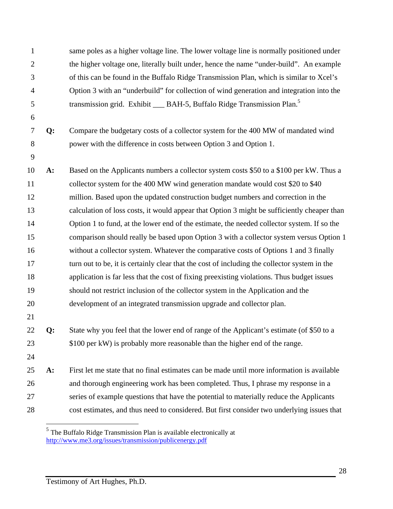same poles as a higher voltage line. The lower voltage line is normally positioned under the higher voltage one, literally built under, hence the name "under-build". An example of this can be found in the Buffalo Ridge Transmission Plan, which is similar to Xcel's Option 3 with an "underbuild" for collection of wind generation and integration into the transmission grid. Exhibit \_\_\_ BAH-5, Buffalo Ridge Transmission Plan.<sup>5</sup> **Q:** Compare the budgetary costs of a collector system for the 400 MW of mandated wind power with the difference in costs between Option 3 and Option 1. **A:** Based on the Applicants numbers a collector system costs \$50 to a \$100 per kW. Thus a 11 collector system for the 400 MW wind generation mandate would cost \$20 to \$40 million. Based upon the updated construction budget numbers and correction in the calculation of loss costs, it would appear that Option 3 might be sufficiently cheaper than Option 1 to fund, at the lower end of the estimate, the needed collector system. If so the comparison should really be based upon Option 3 with a collector system versus Option 1 without a collector system. Whatever the comparative costs of Options 1 and 3 finally 17 turn out to be, it is certainly clear that the cost of including the collector system in the application is far less that the cost of fixing preexisting violations. Thus budget issues should not restrict inclusion of the collector system in the Application and the development of an integrated transmission upgrade and collector plan. **Q:** State why you feel that the lower end of range of the Applicant's estimate (of \$50 to a 23 \$100 per kW) is probably more reasonable than the higher end of the range. **A:** First let me state that no final estimates can be made until more information is available and thorough engineering work has been completed. Thus, I phrase my response in a series of example questions that have the potential to materially reduce the Applicants cost estimates, and thus need to considered. But first consider two underlying issues that

 $<sup>5</sup>$  The Buffalo Ridge Transmission Plan is available electronically at</sup> http://www.me3.org/issues/transmission/publicenergy.pdf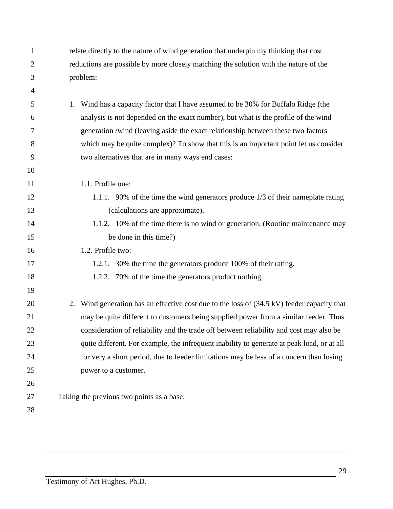| $\mathbf{1}$   | relate directly to the nature of wind generation that underpin my thinking that cost          |
|----------------|-----------------------------------------------------------------------------------------------|
| $\overline{2}$ | reductions are possible by more closely matching the solution with the nature of the          |
| 3              | problem:                                                                                      |
| 4              |                                                                                               |
| 5              | Wind has a capacity factor that I have assumed to be 30% for Buffalo Ridge (the<br>1.         |
| 6              | analysis is not depended on the exact number), but what is the profile of the wind            |
| 7              | generation /wind (leaving aside the exact relationship between these two factors              |
| 8              | which may be quite complex)? To show that this is an important point let us consider          |
| 9              | two alternatives that are in many ways end cases:                                             |
| 10             |                                                                                               |
| 11             | 1.1. Profile one:                                                                             |
| 12             | 1.1.1. 90% of the time the wind generators produce 1/3 of their nameplate rating              |
| 13             | (calculations are approximate).                                                               |
| 14             | 1.1.2. 10% of the time there is no wind or generation. (Routine maintenance may               |
| 15             | be done in this time?)                                                                        |
| 16             | 1.2. Profile two:                                                                             |
| 17             | 1.2.1. 30% the time the generators produce 100% of their rating.                              |
| 18             | 1.2.2. 70% of the time the generators product nothing.                                        |
| 19             |                                                                                               |
| 20             | Wind generation has an effective cost due to the loss of (34.5 kV) feeder capacity that<br>2. |
| 21             | may be quite different to customers being supplied power from a similar feeder. Thus          |
| 22             | consideration of reliability and the trade off between reliability and cost may also be       |
| 23             | quite different. For example, the infrequent inability to generate at peak load, or at all    |
| 24             | for very a short period, due to feeder limitations may be less of a concern than losing       |
| 25             | power to a customer.                                                                          |
| 26             |                                                                                               |
| 27             | Taking the previous two points as a base:                                                     |
| 28             |                                                                                               |
|                |                                                                                               |

 $\overline{a}$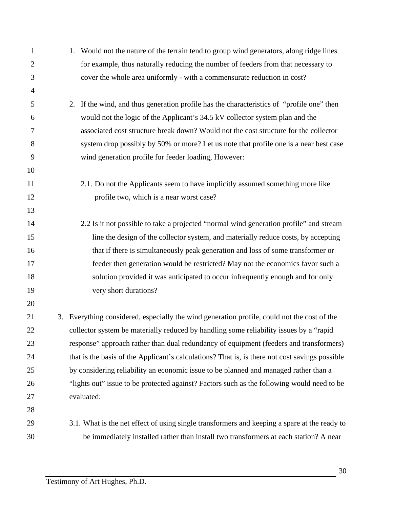| 1              |    | 1. Would not the nature of the terrain tend to group wind generators, along ridge lines        |
|----------------|----|------------------------------------------------------------------------------------------------|
| $\overline{2}$ |    | for example, thus naturally reducing the number of feeders from that necessary to              |
| 3              |    | cover the whole area uniformly - with a commensurate reduction in cost?                        |
| $\overline{4}$ |    |                                                                                                |
| 5              |    | 2. If the wind, and thus generation profile has the characteristics of "profile one" then      |
| 6              |    | would not the logic of the Applicant's 34.5 kV collector system plan and the                   |
| 7              |    | associated cost structure break down? Would not the cost structure for the collector           |
| 8              |    | system drop possibly by 50% or more? Let us note that profile one is a near best case          |
| 9              |    | wind generation profile for feeder loading, However:                                           |
| 10             |    |                                                                                                |
| 11             |    | 2.1. Do not the Applicants seem to have implicitly assumed something more like                 |
| 12             |    | profile two, which is a near worst case?                                                       |
| 13             |    |                                                                                                |
| 14             |    | 2.2 Is it not possible to take a projected "normal wind generation profile" and stream         |
| 15             |    | line the design of the collector system, and materially reduce costs, by accepting             |
| 16             |    | that if there is simultaneously peak generation and loss of some transformer or                |
| 17             |    | feeder then generation would be restricted? May not the economics favor such a                 |
| 18             |    | solution provided it was anticipated to occur infrequently enough and for only                 |
| 19             |    | very short durations?                                                                          |
| 20             |    |                                                                                                |
| 21             | 3. | Everything considered, especially the wind generation profile, could not the cost of the       |
| 22             |    | collector system be materially reduced by handling some reliability issues by a "rapid         |
| 23             |    | response" approach rather than dual redundancy of equipment (feeders and transformers)         |
| 24             |    | that is the basis of the Applicant's calculations? That is, is there not cost savings possible |
| 25             |    | by considering reliability an economic issue to be planned and managed rather than a           |
| 26             |    | "lights out" issue to be protected against? Factors such as the following would need to be     |
| 27             |    | evaluated:                                                                                     |
| 28             |    |                                                                                                |
| 29             |    | 3.1. What is the net effect of using single transformers and keeping a spare at the ready to   |
| 30             |    | be immediately installed rather than install two transformers at each station? A near          |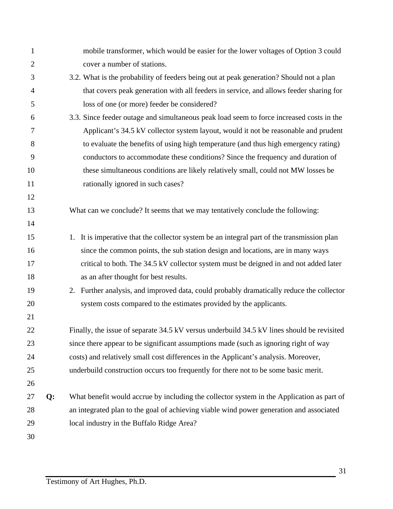| 1              |    | mobile transformer, which would be easier for the lower voltages of Option 3 could            |
|----------------|----|-----------------------------------------------------------------------------------------------|
| $\overline{2}$ |    | cover a number of stations.                                                                   |
| 3              |    | 3.2. What is the probability of feeders being out at peak generation? Should not a plan       |
| $\overline{4}$ |    | that covers peak generation with all feeders in service, and allows feeder sharing for        |
| 5              |    | loss of one (or more) feeder be considered?                                                   |
| 6              |    | 3.3. Since feeder outage and simultaneous peak load seem to force increased costs in the      |
| 7              |    | Applicant's 34.5 kV collector system layout, would it not be reasonable and prudent           |
| 8              |    | to evaluate the benefits of using high temperature (and thus high emergency rating)           |
| 9              |    | conductors to accommodate these conditions? Since the frequency and duration of               |
| 10             |    | these simultaneous conditions are likely relatively small, could not MW losses be             |
| 11             |    | rationally ignored in such cases?                                                             |
| 12             |    |                                                                                               |
| 13             |    | What can we conclude? It seems that we may tentatively conclude the following:                |
| 14             |    |                                                                                               |
| 15             |    | It is imperative that the collector system be an integral part of the transmission plan<br>1. |
| 16             |    | since the common points, the sub station design and locations, are in many ways               |
| 17             |    | critical to both. The 34.5 kV collector system must be deigned in and not added later         |
| 18             |    | as an after thought for best results.                                                         |
| 19             |    | 2. Further analysis, and improved data, could probably dramatically reduce the collector      |
| 20             |    | system costs compared to the estimates provided by the applicants.                            |
| 21             |    |                                                                                               |
| 22             |    | Finally, the issue of separate 34.5 kV versus underbuild 34.5 kV lines should be revisited    |
| 23             |    | since there appear to be significant assumptions made (such as ignoring right of way          |
| 24             |    | costs) and relatively small cost differences in the Applicant's analysis. Moreover,           |
| 25             |    | underbuild construction occurs too frequently for there not to be some basic merit.           |
| 26             |    |                                                                                               |
| 27             | Q: | What benefit would accrue by including the collector system in the Application as part of     |
| 28             |    | an integrated plan to the goal of achieving viable wind power generation and associated       |
| 29             |    | local industry in the Buffalo Ridge Area?                                                     |
| 30             |    |                                                                                               |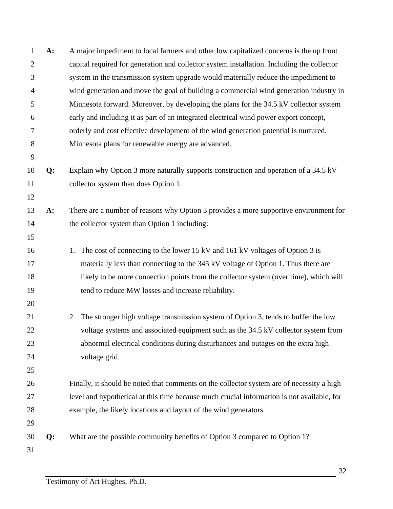| $\mathbf{1}$   | A:    | A major impediment to local farmers and other low capitalized concerns is the up front     |
|----------------|-------|--------------------------------------------------------------------------------------------|
| $\overline{2}$ |       | capital required for generation and collector system installation. Including the collector |
| 3              |       | system in the transmission system upgrade would materially reduce the impediment to        |
| 4              |       | wind generation and move the goal of building a commercial wind generation industry in     |
| 5              |       | Minnesota forward. Moreover, by developing the plans for the 34.5 kV collector system      |
| 6              |       | early and including it as part of an integrated electrical wind power export concept,      |
| 7              |       | orderly and cost effective development of the wind generation potential is nurtured.       |
| 8              |       | Minnesota plans for renewable energy are advanced.                                         |
| 9              |       |                                                                                            |
| 10             | Q:    | Explain why Option 3 more naturally supports construction and operation of a 34.5 kV       |
| 11             |       | collector system than does Option 1.                                                       |
| 12             |       |                                                                                            |
| 13             | $A$ : | There are a number of reasons why Option 3 provides a more supportive environment for      |
| 14             |       | the collector system than Option 1 including:                                              |
| 15             |       |                                                                                            |
| 16             |       | The cost of connecting to the lower 15 kV and 161 kV voltages of Option 3 is<br>1.         |
| 17             |       | materially less than connecting to the 345 kV voltage of Option 1. Thus there are          |
| 18             |       | likely to be more connection points from the collector system (over time), which will      |
| 19             |       | tend to reduce MW losses and increase reliability.                                         |
| 20             |       |                                                                                            |
| 21             |       | The stronger high voltage transmission system of Option 3, tends to buffer the low<br>2.   |
| 22             |       | voltage systems and associated equipment such as the 34.5 kV collector system from         |
| 23             |       | abnormal electrical conditions during disturbances and outages on the extra high           |
| 24             |       | voltage grid.                                                                              |
| 25             |       |                                                                                            |
| 26             |       | Finally, it should be noted that comments on the collector system are of necessity a high  |
| 27             |       | level and hypothetical at this time because much crucial information is not available, for |
| 28             |       | example, the likely locations and layout of the wind generators.                           |
| 29             |       |                                                                                            |
| 30             | Q:    | What are the possible community benefits of Option 3 compared to Option 1?                 |
| 31             |       |                                                                                            |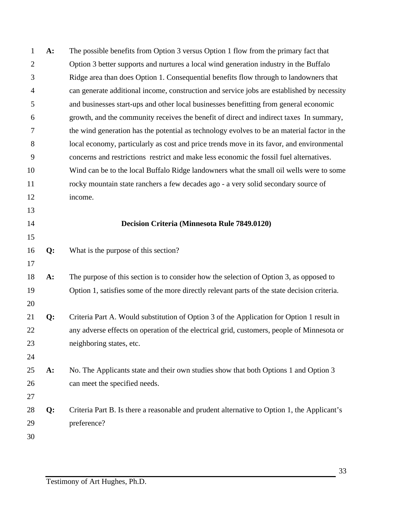| 1              | A:    | The possible benefits from Option 3 versus Option 1 flow from the primary fact that          |
|----------------|-------|----------------------------------------------------------------------------------------------|
| $\overline{2}$ |       | Option 3 better supports and nurtures a local wind generation industry in the Buffalo        |
| 3              |       | Ridge area than does Option 1. Consequential benefits flow through to landowners that        |
| $\overline{4}$ |       | can generate additional income, construction and service jobs are established by necessity   |
| 5              |       | and businesses start-ups and other local businesses benefitting from general economic        |
| 6              |       | growth, and the community receives the benefit of direct and indirect taxes In summary,      |
| 7              |       | the wind generation has the potential as technology evolves to be an material factor in the  |
| 8              |       | local economy, particularly as cost and price trends move in its favor, and environmental    |
| 9              |       | concerns and restrictions restrict and make less economic the fossil fuel alternatives.      |
| 10             |       | Wind can be to the local Buffalo Ridge landowners what the small oil wells were to some      |
| 11             |       | rocky mountain state ranchers a few decades ago - a very solid secondary source of           |
| 12             |       | income.                                                                                      |
| 13             |       |                                                                                              |
| 14             |       | Decision Criteria (Minnesota Rule 7849.0120)                                                 |
| 15             |       |                                                                                              |
| 16             | Q:    | What is the purpose of this section?                                                         |
| 17             |       |                                                                                              |
| 18             | A:    | The purpose of this section is to consider how the selection of Option 3, as opposed to      |
| 19             |       | Option 1, satisfies some of the more directly relevant parts of the state decision criteria. |
| 20             |       |                                                                                              |
| 21             | Q:    | Criteria Part A. Would substitution of Option 3 of the Application for Option 1 result in    |
| 22             |       | any adverse effects on operation of the electrical grid, customers, people of Minnesota or   |
| 23             |       | neighboring states, etc.                                                                     |
| 24             |       |                                                                                              |
| 25             | $A$ : | No. The Applicants state and their own studies show that both Options 1 and Option 3         |
| 26             |       | can meet the specified needs.                                                                |
| 27             |       |                                                                                              |
| 28             | Q:    | Criteria Part B. Is there a reasonable and prudent alternative to Option 1, the Applicant's  |
| 29             |       | preference?                                                                                  |
| 30             |       |                                                                                              |